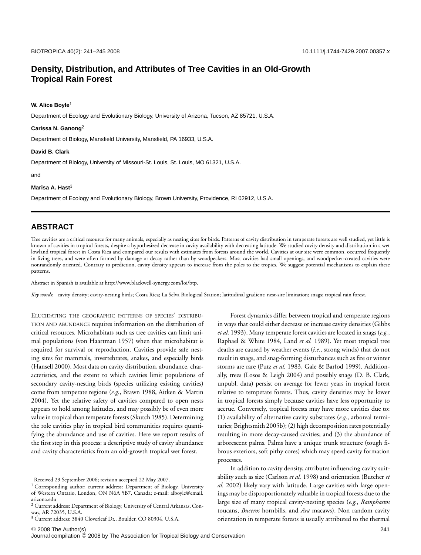# **Density, Distribution, and Attributes of Tree Cavities in an Old-Growth Tropical Rain Forest**

### **W. Alice Boyle**<sup>1</sup>

Department of Ecology and Evolutionary Biology, University of Arizona, Tucson, AZ 85721, U.S.A.

### **Carissa N. Ganong**<sup>2</sup>

Department of Biology, Mansfield University, Mansfield, PA 16933, U.S.A.

#### **David B. Clark**

Department of Biology, University of Missouri-St. Louis, St. Louis, MO 61321, U.S.A.

and

#### **Marisa A. Hast**<sup>3</sup>

Department of Ecology and Evolutionary Biology, Brown University, Providence, RI 02912, U.S.A.

## **ABSTRACT**

Tree cavities are a critical resource for many animals, especially as nesting sites for birds. Patterns of cavity distribution in temperate forests are well studied, yet little is known of cavities in tropical forests, despite a hypothesized decrease in cavity availability with decreasing latitude. We studied cavity density and distribution in a wet lowland tropical forest in Costa Rica and compared our results with estimates from forests around the world. Cavities at our site were common, occurred frequently in living trees, and were often formed by damage or decay rather than by woodpeckers. Most cavities had small openings, and woodpecker-created cavities were nonrandomly oriented. Contrary to prediction, cavity density appears to increase from the poles to the tropics. We suggest potential mechanisms to explain these patterns.

Abstract in Spanish is available at http://www.blackwell-synergy.com/loi/btp.

*Key words*: cavity density; cavity-nesting birds; Costa Rica; La Selva Biological Station; latitudinal gradient; nest-site limitation; snags; tropical rain forest.

ELUCIDATING THE GEOGRAPHIC PATTERNS OF SPECIES' DISTRIBU-TION AND ABUNDANCE requires information on the distribution of critical resources. Microhabitats such as tree cavities can limit animal populations (von Haartman 1957) when that microhabitat is required for survival or reproduction. Cavities provide safe nesting sites for mammals, invertebrates, snakes, and especially birds (Hansell 2000). Most data on cavity distribution, abundance, characteristics, and the extent to which cavities limit populations of secondary cavity-nesting birds (species utilizing existing cavities) come from temperate regions (*e.g.*, Brawn 1988, Aitken & Martin 2004). Yet the relative safety of cavities compared to open nests appears to hold among latitudes, and may possibly be of even more value in tropical than temperate forests (Skutch 1985). Determining the role cavities play in tropical bird communities requires quantifying the abundance and use of cavities. Here we report results of the first step in this process: a descriptive study of cavity abundance and cavity characteristics from an old-growth tropical wet forest.

Forest dynamics differ between tropical and temperate regions in ways that could either decrease or increase cavity densities (Gibbs *et al.* 1993). Many temperate forest cavities are located in snags (*e.g.*, Raphael & White 1984, Land *et al.* 1989). Yet most tropical tree deaths are caused by weather events (*i.e.*, strong winds) that do not result in snags, and snag-forming disturbances such as fire or winter storms are rare (Putz *et al.* 1983, Gale & Barfod 1999). Additionally, trees (Losos & Leigh 2004) and possibly snags (D. B. Clark, unpubl. data) persist on average for fewer years in tropical forest relative to temperate forests. Thus, cavity densities may be lower in tropical forests simply because cavities have less opportunity to accrue. Conversely, tropical forests may have more cavities due to: (1) availability of alternative cavity substrates (*e.g.*, arboreal termitaries; Brightsmith 2005b); (2) high decomposition rates potentially resulting in more decay-caused cavities; and (3) the abundance of arborescent palms. Palms have a unique trunk structure (tough fibrous exteriors, soft pithy cores) which may speed cavity formation processes.

In addition to cavity density, attributes influencing cavity suitability such as size (Carlson *et al.* 1998) and orientation (Butcher *et al.* 2002) likely vary with latitude. Large cavities with large openings may be disproportionately valuable in tropical forests due to the large size of many tropical cavity-nesting species (*e.g.*, *Ramphastos* toucans, *Buceros* hornbills, and *Ara* macaws). Non random cavity orientation in temperate forests is usually attributed to the thermal

Received 29 September 2006; revision accepted 22 May 2007.

<sup>&</sup>lt;sup>1</sup> Corresponding author; current address: Department of Biology, University of Western Ontario, London, ON N6A 5B7, Canada; e-mail: alboyle@email. arizona.edu

<sup>2</sup> Current address: Department of Biology, University of Central Arkansas, Conway, AR 72035, U.S.A.

<sup>3</sup> Current address: 3840 Cloverleaf Dr., Boulder, CO 80304, U.S.A.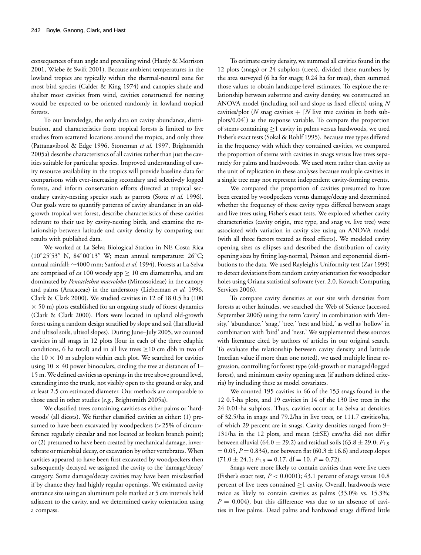consequences of sun angle and prevailing wind (Hardy & Morrison 2001, Wiebe & Swift 2001). Because ambient temperatures in the lowland tropics are typically within the thermal-neutral zone for most bird species (Calder & King 1974) and canopies shade and shelter most cavities from wind, cavities constructed for nesting would be expected to be oriented randomly in lowland tropical forests.

To our knowledge, the only data on cavity abundance, distribution, and characteristics from tropical forests is limited to five studies from scattered locations around the tropics, and only three (Pattanavibool & Edge 1996, Stoneman *et al.* 1997, Brightsmith 2005a) describe characteristics of all cavities rather than just the cavities suitable for particular species. Improved understanding of cavity resource availability in the tropics will provide baseline data for comparisons with ever-increasing secondary and selectively logged forests, and inform conservation efforts directed at tropical secondary cavity-nesting species such as parrots (Stotz *et al.* 1996). Our goals were to quantify patterns of cavity abundance in an oldgrowth tropical wet forest, describe characteristics of these cavities relevant to their use by cavity-nesting birds, and examine the relationship between latitude and cavity density by comparing our results with published data.

We worked at La Selva Biological Station in NE Costa Rica (10°25'53" N, 84°00'13" W; mean annual temperature: 26°C; annual rainfall: ∼4000 mm; Sanford *et al.* 1994). Forests at La Selva are comprised of *ca* 100 woody spp  $\geq$  10 cm diameter/ha, and are dominated by *Pentaclethra macroloba* (Mimosoideae) in the canopy and palms (Aracaceae) in the understory (Lieberman *et al.* 1996, Clark & Clark 2000). We studied cavities in 12 of 18 0.5 ha (100  $\times$  50 m) plots established for an ongoing study of forest dynamics (Clark & Clark 2000). Plots were located in upland old-growth forest using a random design stratified by slope and soil (flat alluvial and ultisol soils, ultisol slopes). During June–July 2005, we counted cavities in all snags in 12 plots (four in each of the three edaphic conditions, 6 ha total) and in all live trees  $\geq$ 10 cm dbh in two of the  $10 \times 10$  m subplots within each plot. We searched for cavities using  $10 \times 40$  power binoculars, circling the tree at distances of 1-15 m. We defined cavities as openings in the tree above ground level, extending into the trunk, not visibly open to the ground or sky, and at least 2.5 cm estimated diameter. Our methods are comparable to those used in other studies (*e.g.*, Brightsmith 2005a).

We classified trees containing cavities as either palms or 'hardwoods' (all dicots). We further classified cavities as either: (1) presumed to have been excavated by woodpeckers  $(>25\%$  of circumference regularly circular and not located at broken branch point); or (2) presumed to have been created by mechanical damage, invertebrate or microbial decay, or excavation by other vertebrates. When cavities appeared to have been first excavated by woodpeckers then subsequently decayed we assigned the cavity to the 'damage/decay' category. Some damage/decay cavities may have been misclassified if by chance they had highly regular openings. We estimated cavity entrance size using an aluminum pole marked at 5 cm intervals held adjacent to the cavity, and we determined cavity orientation using a compass.

To estimate cavity density, we summed all cavities found in the 12 plots (snags) or 24 subplots (trees), divided these numbers by the area surveyed (6 ha for snags; 0.24 ha for trees), then summed those values to obtain landscape-level estimates. To explore the relationship between substrate and cavity density, we constructed an ANOVA model (including soil and slope as fixed effects) using *N* cavities/plot (*N* snag cavities  $+$  [*N* live tree cavities in both subplots/0.04]) as the response variable. To compare the proportion of stems containing  $\geq$ 1 cavity in palms versus hardwoods, we used Fisher's exact tests (Sokal & Rohlf 1995). Because tree types differed in the frequency with which they contained cavities, we compared the proportion of stems with cavities in snags versus live trees separately for palms and hardwoods. We used stem rather than cavity as the unit of replication in these analyses because multiple cavities in a single tree may not represent independent cavity-forming events.

We compared the proportion of cavities presumed to have been created by woodpeckers versus damage/decay and determined whether the frequency of these cavity types differed between snags and live trees using Fisher's exact tests. We explored whether cavity characteristics (cavity origin, tree type, and snag vs. live tree) were associated with variation in cavity size using an ANOVA model (with all three factors treated as fixed effects). We modeled cavity opening sizes as ellipses and described the distribution of cavity opening sizes by fitting log-normal, Poisson and exponential distributions to the data. We used Rayleigh's Uniformity test (Zar 1999) to detect deviations from random cavity orientation for woodpecker holes using Oriana statistical software (ver. 2.0, Kovach Computing Services 2006).

To compare cavity densities at our site with densities from forests at other latitudes, we searched the Web of Science (accessed September 2006) using the term 'cavity' in combination with 'density,' 'abundance,' 'snag,' 'tree,' 'nest and bird,' as well as 'hollow' in combination with 'bird' and 'nest.' We supplemented these sources with literature cited by authors of articles in our original search. To evaluate the relationship between cavity density and latitude (median value if more than one noted), we used multiple linear regression, controlling for forest type (old-growth or managed/logged forest), and minimum cavity opening area (if authors defined criteria) by including these as model covariates.

We counted 195 cavities in 66 of the 153 snags found in the 12 0.5-ha plots, and 19 cavities in 14 of the 130 live trees in the 24 0.01-ha subplots. Thus, cavities occur at La Selva at densities of 32.5/ha in snags and 79.2/ha in live trees, or 111.7 cavities/ha, of which 29 percent are in snags. Cavity densities ranged from 9– 131/ha in the 12 plots, and mean (±SE) cavs/ha did not differ between alluvial (64.0  $\pm$  29.2) and residual soils (63.8  $\pm$  29.0;  $F_{1,9}$ )  $= 0.05, P = 0.834$ , nor between flat (60.3  $\pm$  16.6) and steep slopes  $(71.0 \pm 24.1; F_{1.9} = 0.17, df = 10, P = 0.72).$ 

Snags were more likely to contain cavities than were live trees (Fisher's exact test, *P* < 0.0001); 43.1 percent of snags versus 10.8 percent of live trees contained  $\geq 1$  cavity. Overall, hardwoods were twice as likely to contain cavities as palms (33.0% vs. 15.3%;  $P = 0.004$ ), but this difference was due to an absence of cavities in live palms. Dead palms and hardwood snags differed little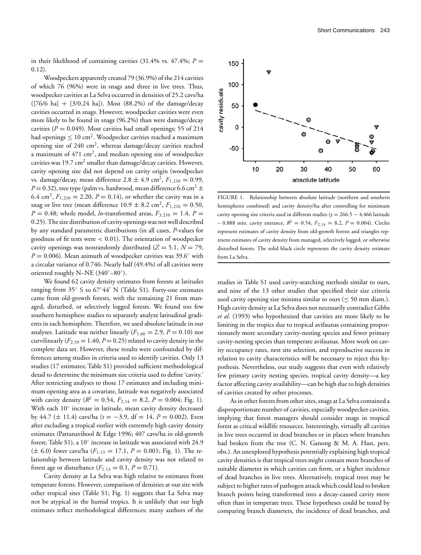in their likelihood of containing cavities  $(31.4\% \text{ vs. } 47.4\%; P =$ 0.12).

Woodpeckers apparently created 79 (36.9%) of the 214 cavities of which 76 (96%) were in snags and three in live trees. Thus, woodpecker cavities at La Selva occurred in densities of 25.2 cavs/ha  $([76/6 \text{ ha}] + [3/0.24 \text{ ha}])$ . Most  $(88.2\%)$  of the damage/decay cavities occurred in snags. However, woodpecker cavities were even more likely to be found in snags (96.2%) than were damage/decay cavities ( $P = 0.049$ ). Most cavities had small openings; 55 of 214 had openings  $\leq 10$  cm<sup>2</sup>. Woodpecker cavities reached a maximum opening size of  $240 \text{ cm}^2$ , whereas damage/decay cavities reached a maximum of  $471 \text{ cm}^2$ , and median opening size of woodpecker cavities was  $19.7 \text{ cm}^2$  smaller than damage/decay cavities. However, cavity opening size did not depend on cavity origin (woodpecker vs. damage/decay, mean difference  $2.8 \pm 4.9 \text{ cm}^2$ ,  $F_{1,210} = 0.99$ ,  $P = 0.32$ ), tree type (palm vs. hardwood, mean difference 6.6 cm<sup>2</sup>  $\pm$ 6.4 cm<sup>2</sup>,  $F_{1,210} = 2.20, P = 0.14$ ), or whether the cavity was in a snag or live tree (mean difference  $10.9 \pm 8.2 \text{ cm}^2$ ,  $F_{1,210} = 0.50$ , *P* = 0.48; whole model, *ln*-transformed areas,  $F_{3,210} = 1.4$ , *P* = 0.25). The size distribution of cavity openings was not well described by any standard parametric distributions (in all cases, *P*-values for goodness of fit tests were < 0.01). The orientation of woodpecker cavity openings was nonrandomly distributed  $(Z = 5.1, N = 79,$  $P = 0.006$ ). Mean azimuth of woodpecker cavities was 39.6 $\textdegree$  with a circular variance of 0.746. Nearly half (49.4%) of all cavities were oriented roughly N–NE (340◦–80◦).

We found 62 cavity density estimates from forests at latitudes ranging from  $35°$  S to  $67°44'$  N (Table S1). Forty-one estimates came from old-growth forests, with the remaining 21 from managed, disturbed, or selectively logged forests. We found too few southern hemisphere studies to separately analyze latitudinal gradients in each hemisphere. Therefore, we used absolute latitude in our analyses. Latitude was neither linearly  $(F_{1,60} = 2.9, P = 0.10)$  nor curvilinearly  $(F_{2,59} = 1.40, P = 0.25)$  related to cavity density in the complete data set. However, these results were confounded by differences among studies in criteria used to identify cavities. Only 13 studies (17 estimates; Table S1) provided sufficient methodological detail to determine the minimum size criteria used to define 'cavity.' After restricting analyses to those 17 estimates and including minimum opening area as a covariate, latitude was negatively associated with cavity density ( $R^2 = 0.54$ ,  $F_{2,14} = 8.2$ ,  $P = 0.004$ ; Fig. 1). With each 10° increase in latitude, mean cavity density decreased by 44.7 (± 11.4) cavs/ha (*t* = −3.9, df = 14, *P* = 0.002). Even after excluding a tropical outlier with extremely high cavity density estimates (Pattanavibool & Edge 1996; 407 cavs/ha in old-growth forest; Table S1), a 10◦ increase in latitude was associated with 24.9  $(\pm 6.0)$  fewer cavs/ha  $(F_{1,13} = 17.1, P = 0.001;$  Fig. 1). The relationship between latitude and cavity density was not related to forest age or disturbance  $(F_{1,13} = 0.1, P = 0.71)$ .

Cavity density at La Selva was high relative to estimates from temperate forests. However, comparison of densities at our site with other tropical sites (Table S1; Fig. 1) suggests that La Selva may not be atypical in the humid tropics. It is unlikely that our high estimates reflect methodological differences; many authors of the



FIGURE 1. Relationship between absolute latitude (northern and southern hemispheres combined) and cavity density/ha after controlling for minimum cavity opening size criteria used in different studies (*y* = 266.5 − 4.466 latitude  $-$  0.888 min. cavity entrance,  $R^2 = 0.54$ ,  $F_{2,14} = 8.2$ ,  $P = 0.004$ ). Circles represent estimates of cavity density from old-growth forests and triangles represent estimates of cavity density from managed, selectively logged, or otherwise disturbed forests. The solid black circle represents the cavity density estimate from La Selva.

studies in Table S1 used cavity-searching methods similar to ours, and nine of the 13 other studies that specified their size criteria used cavity opening size minima similar to ours ( $\leq$  50 mm diam.). High cavity density at La Selva does not necessarily contradict Gibbs *et al*. (1993) who hypothesized that cavities are more likely to be limiting in the tropics due to tropical avifaunas containing proportionately more secondary cavity-nesting species and fewer primary cavity-nesting species than temperate avifaunas. More work on cavity occupancy rates, nest site selection, and reproductive success in relation to cavity characteristics will be necessary to reject this hypothesis. Nevertheless, our study suggests that even with relatively few primary cavity nesting species, tropical cavity density—a key factor affecting cavity availability—can be high due to high densities of cavities created by other processes.

As in other forests from other sites, snags at La Selva contained a disproportionate number of cavities, especially woodpecker cavities, implying that forest managers should consider snags in tropical forest as critical wildlife resources. Interestingly, virtually all cavities in live trees occurred in dead branches or in places where branches had broken from the tree (C. N. Ganong & M. A. Hast, pers. obs.). An unexplored hypothesis potentially explaining high tropical cavity densities is that tropical trees might contain more branches of suitable diameter in which cavities can form, or a higher incidence of dead branches in live trees. Alternatively, tropical trees may be subject to higher rates of pathogen attack which could lead to broken branch points being transformed into a decay-caused cavity more often than in temperate trees. These hypotheses could be tested by comparing branch diameters, the incidence of dead branches, and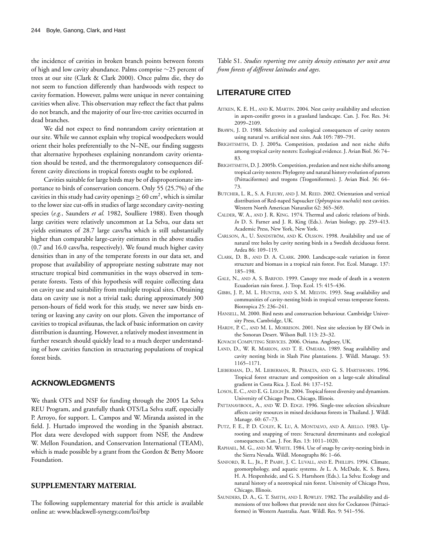the incidence of cavities in broken branch points between forests of high and low cavity abundance. Palms comprise ∼25 percent of trees at our site (Clark & Clark 2000). Once palms die, they do not seem to function differently than hardwoods with respect to cavity formation. However, palms were unique in never containing cavities when alive. This observation may reflect the fact that palms do not branch, and the majority of our live-tree cavities occurred in dead branches.

We did not expect to find nonrandom cavity orientation at our site. While we cannot explain why tropical woodpeckers would orient their holes preferentially to the N–NE, our finding suggests that alternative hypotheses explaining nonrandom cavity orientation should be tested, and the thermoregulatory consequences different cavity directions in tropical forests ought to be explored.

Cavities suitable for large birds may be of disproportionate importance to birds of conservation concern. Only 55 (25.7%) of the cavities in this study had cavity openings  $\geq 60 \text{ cm}^2$ , which is similar to the lower size cut-offs in studies of large secondary cavity-nesting species (*e.g.*, Saunders *et al.* 1982, Soulliere 1988). Even though large cavities were relatively uncommon at La Selva, our data set yields estimates of 28.7 large cavs/ha which is still substantially higher than comparable large-cavity estimates in the above studies (0.7 and 16.0 cavs/ha, respectively). We found much higher cavity densities than in any of the temperate forests in our data set, and propose that availability of appropriate nesting substrate may not structure tropical bird communities in the ways observed in temperate forests. Tests of this hypothesis will require collecting data on cavity use and suitability from multiple tropical sites. Obtaining data on cavity use is not a trivial task; during approximately 300 person-hours of field work for this study, we never saw birds entering or leaving any cavity on our plots. Given the importance of cavities to tropical avifaunas, the lack of basic information on cavity distribution is daunting. However, a relatively modest investment in further research should quickly lead to a much deeper understanding of how cavities function in structuring populations of tropical forest birds.

## **ACKNOWLEDGMENTS**

We thank OTS and NSF for funding through the 2005 La Selva REU Program, and gratefully thank OTS/La Selva staff, especially P. Arroyo, for support. L. Campos and W. Miranda assisted in the field. J. Hurtado improved the wording in the Spanish abstract. Plot data were developed with support from NSF, the Andrew W. Mellon Foundation, and Conservation International (TEAM), which is made possible by a grant from the Gordon & Betty Moore Foundation.

### **SUPPLEMENTARY MATERIAL**

The following supplementary material for this article is available online at: www.blackwell-synergy.com/loi/btp

Table S1. *Studies reporting tree cavity density estimates per unit area from forests of different latitudes and ages*.

# **LITERATURE CITED**

- AITKEN, K. E. H., AND K. MARTIN. 2004. Nest cavity availability and selection in aspen-conifer groves in a grassland landscape. Can. J. For. Res. 34: 2099–2109.
- BRAWN, J. D. 1988. Selectivity and ecological consequences of cavity nesters using natural vs. artificial nest sites. Auk 105: 789–791.
- BRIGHTSMITH, D. J. 2005a. Competition, predation and nest niche shifts among tropical cavity nesters: Ecological evidence. J. Avian Biol. 36: 74– 83.
- BRIGHTSMITH, D. J. 2005b. Competition, predation and nest niche shifts among tropical cavity nesters: Phylogeny and natural history evolution of parrots (Psittaciformes) and trogons (Trogoniformes). J. Avian Biol. 36: 64– 73.
- BUTCHER, L. R., S. A. FLEURY, AND J. M. REED. 2002. Orientation and vertical distribution of Red-naped Sapsucker (*Sphyrapicus nuchalis*) nest cavities. Western North American Naturalist 62: 365–369.
- CALDER, W. A., AND J. R. KING. 1974. Thermal and caloric relations of birds. *In* D. S. Farner and J. R. King (Eds.). Avian biology, pp. 259–413. Academic Press, New York, New York.
- CARLSON, A., U. SANDSTRÖM, AND K. OLSSON. 1998. Availability and use of natural tree holes by cavity nesting birds in a Swedish deciduous forest. Ardea 86: 109–119.
- CLARK, D. B., AND D. A. CLARK. 2000. Landscape-scale variation in forest structure and biomass in a tropical rain forest. For. Ecol. Manage. 137: 185–198.
- GALE, N., AND A. S. BARFOD. 1999. Canopy tree mode of death in a western Ecuadorian rain forest. J. Trop. Ecol. 15: 415–436.
- GIBBS, J. P., M. L. HUNTER, AND S. M. MELVIN. 1993. Snag availability and communities of cavity-nesting birds in tropical versus temperate forests. Biotropica 25: 236–241.
- HANSELL, M. 2000. Bird nests and construction behaviour. Cambridge University Press, Cambridge, UK.
- HARDY, P. C., AND M. L. MORRISON. 2001. Nest site selection by Elf Owls in the Sonoran Desert. Wilson Bull. 113: 23–32.
- KOVACH COMPUTING SERVICES. 2006. Oriana. Anglesey, UK.
- LAND, D., W. R. MARION, AND T. E. OMEARA. 1989. Snag availability and cavity nesting birds in Slash Pine plantations. J. Wildl. Manage. 53: 1165–1171.
- LIEBERMAN, D., M. LIEBERMAN, R. PERALTA, AND G. S. HARTSHORN. 1996. Tropical forest structure and composition on a large-scale altitudinal gradient in Costa Rica. J. Ecol. 84: 137–152.
- LOSOS, E. C., AND E. G. LEIGH JR. 2004. Tropical forest diversity and dynamism. University of Chicago Press, Chicago, Illinois.
- PATTANAVIBOOL, A., AND W. D. EDGE. 1996. Single-tree selection silviculture affects cavity resources in mixed deciduous forests in Thailand. J. Wildl. Manage. 60: 67–73.
- PUTZ, F. E., P. D. COLEY, K. LU, A. MONTALVO, AND A. AIELLO. 1983. Uprooting and snapping of trees: Structural determinants and ecological consequences. Can. J. For. Res. 13: 1011–1020.
- RAPHAEL, M. G., AND M. WHITE. 1984. Use of snags by cavity-nesting birds in the Sierra Nevada. Wildl. Monographs 86: 1–66.
- SANFORD, R. L., JR., P. PAABY, J. C. LUVALL, AND E. PHILLIPS. 1994. Climate, geomorphology, and aquatic systems. *In* L. A. McDade, K. S. Bawa, H. A. Hespenheide, and G. S. Hartshorn (Eds.). La Selva: Ecology and natural history of a neotropical rain forest. University of Chicago Press, Chicago, Illinois.
- SAUNDERS, D. A., G. T. SMITH, AND I. ROWLEY. 1982. The availability and dimensions of tree hollows that provide nest sites for Cockatoos (Psittaciformes) in Western Australia. Aust. Wildl. Res. 9: 541–556.